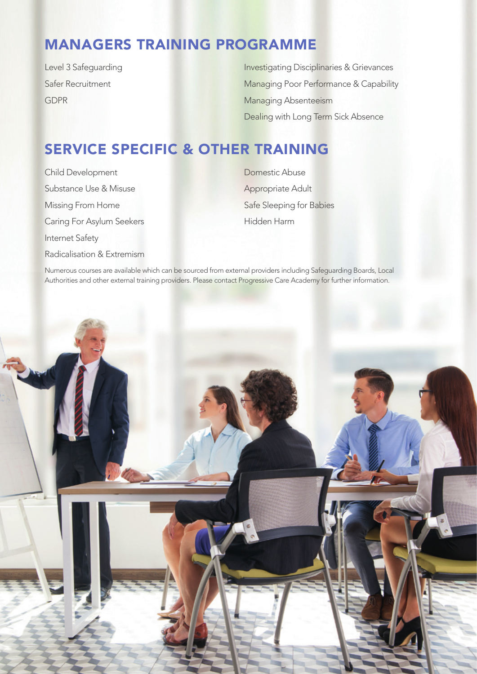## MANAGERS TRAINING PROGRAMME

Level 3 Safeguarding Safer Recruitment GDPR

Investigating Disciplinaries & Grievances Managing Poor Performance & Capability Managing Absenteeism Dealing with Long Term Sick Absence

## SERVICE SPECIFIC & OTHER TRAINING

Child Development Substance Use & Misuse Missing From Home Caring For Asylum Seekers Internet Safety Radicalisation & Extremism Domestic Abuse Appropriate Adult Safe Sleeping for Babies Hidden Harm

Numerous courses are available which can be sourced from external providers including Safeguarding Boards, Local Authorities and other external training providers. Please contact Progressive Care Academy for further information.

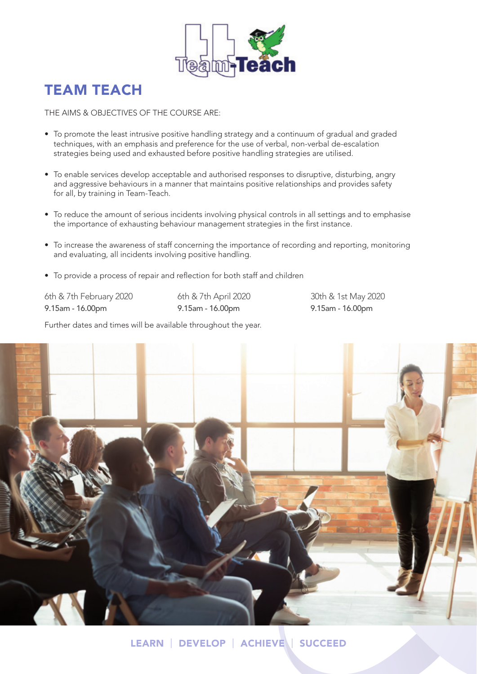

## TEAM TEACH

THE AIMS & OBJECTIVES OF THE COURSE ARE:

- To promote the least intrusive positive handling strategy and a continuum of gradual and graded techniques, with an emphasis and preference for the use of verbal, non-verbal de-escalation strategies being used and exhausted before positive handling strategies are utilised.
- To enable services develop acceptable and authorised responses to disruptive, disturbing, angry and aggressive behaviours in a manner that maintains positive relationships and provides safety for all, by training in Team-Teach.
- To reduce the amount of serious incidents involving physical controls in all settings and to emphasise the importance of exhausting behaviour management strategies in the first instance.
- To increase the awareness of staff concerning the importance of recording and reporting, monitoring and evaluating, all incidents involving positive handling.
- To provide a process of repair and reflection for both staff and children

6th & 7th February 2020 9.15am - 16.00pm

6th & 7th April 2020 9.15am - 16.00pm

30th & 1st May 2020 9.15am - 16.00pm

Further dates and times will be available throughout the year.